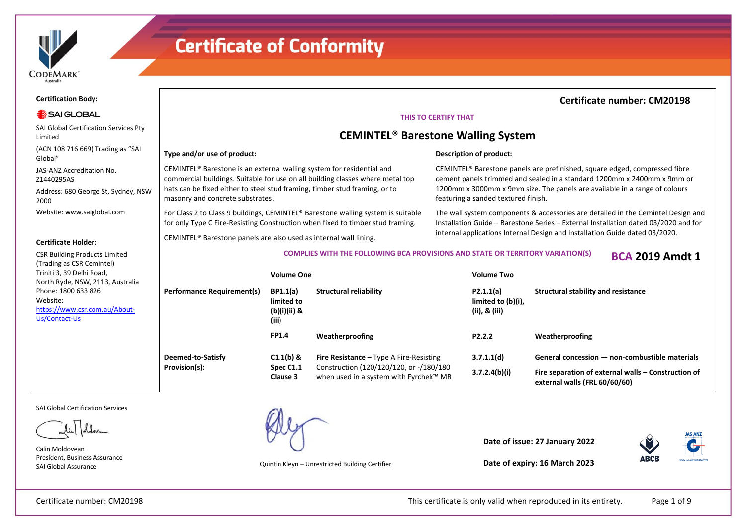

#### **Certification Body:**

#### SAI GLOBAL

SAI Global Certification Services Pty Limited

(ACN 108 716 669) Trading as "SAI Global"

JAS-ANZ Accreditation No. Z1440295AS

Address: 680 George St, Sydney, NSW 2000

Website: www.saiglobal.com

#### **Certificate Holder:**

CSR Building Products Limited (Trading as CSR Cemintel) Triniti 3, 39 Delhi Road, North Ryde, NSW, 2113, Australia Phone: 1800 633 826 Website: https://www.csr.com.au/About-Us/Contact-Us

> **Deen Provis**

#### SAI Global Certification Services

Calin Moldovean President, Business Assurance SAI Global Assurance Quintin Kleyn – Unrestricted Building Certifier

### **Certificate number: CM20198**

#### **THIS TO CERTIFY THAT**

### **CEMINTEL® Barestone Walling System**

#### **Type and/or use of product:**

CEMINTEL® Barestone is an external walling system for residential and commercial buildings. Suitable for use on all building classes where metal top hats can be fixed either to steel stud framing, timber stud framing, or to masonry and concrete substrates.

For Class 2 to Class 9 buildings, CEMINTEL® Barestone walling system is suitable for only Type C Fire-Resisting Construction when fixed to timber stud framing.

CEMINTEL® Barestone panels are also used as internal wall lining.

### **Description of product:**

CEMINTEL® Barestone panels are prefinished, square edged, compressed fibre cement panels trimmed and sealed in a standard 1200mm x 2400mm x 9mm or 1200mm x 3000mm x 9mm size. The panels are available in a range of colours featuring a sanded textured finish.

The wall system components & accessories are detailed in the Cemintel Design and Installation Guide – Barestone Series – External Installation dated 03/2020 and for internal applications Internal Design and Installation Guide dated 03/2020.

**COMPLIES WITH THE FOLLOWING BCA PROVISIONS AND STATE OR TERRITORY VARIATION(S) BCA 2019 Amdt 1**

|                            | <b>Volume One</b>                                      |                                                                                   | <b>Volume Two</b>                                   |                                                                                      |  |
|----------------------------|--------------------------------------------------------|-----------------------------------------------------------------------------------|-----------------------------------------------------|--------------------------------------------------------------------------------------|--|
| Performance Requirement(s) | <b>BP1.1(a)</b><br>limited to<br>(b)(i)(ii) &<br>(iii) | <b>Structural reliability</b>                                                     | P2.1.1(a)<br>limited to (b)(i),<br>(ii), $\&$ (iii) | Structural stability and resistance                                                  |  |
|                            | <b>FP1.4</b>                                           | Weatherproofing                                                                   | P <sub>2</sub> .2.2                                 | Weatherproofing                                                                      |  |
| <b>Deemed-to-Satisfy</b>   | $C1.1(b)$ &                                            | <b>Fire Resistance - Type A Fire-Resisting</b>                                    | 3.7.1.1(d)                                          | General concession - non-combustible materials                                       |  |
| Provision(s):              | Spec C1.1<br>Clause 3                                  | Construction (120/120/120, or -/180/180<br>when used in a system with Fyrchek™ MR | 3.7.2.4(b)(i)                                       | Fire separation of external walls - Construction of<br>external walls (FRL 60/60/60) |  |

**Date of issue: 27 January 2022**



**Date of expiry: 16 March 2023**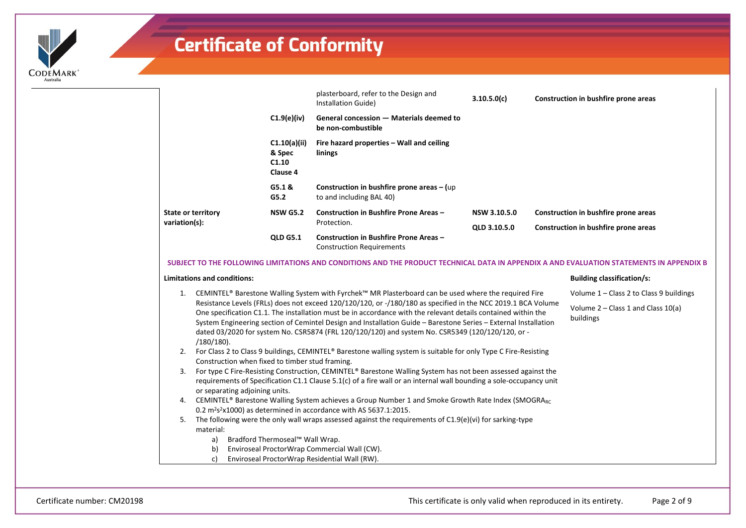

|                           |                                             | plasterboard, refer to the Design and<br>Installation Guide)                      | 3.10.5.0(c)  | Construction in bushfire prone areas |
|---------------------------|---------------------------------------------|-----------------------------------------------------------------------------------|--------------|--------------------------------------|
|                           | $C1.9(e)$ (iv)                              | General concession - Materials deemed to<br>be non-combustible                    |              |                                      |
|                           | C1.10(a)(ii)<br>& Spec<br>C1.10<br>Clause 4 | Fire hazard properties – Wall and ceiling<br>linings                              |              |                                      |
|                           | G5.1 &<br>G5.2                              | Construction in bushfire prone areas - (up<br>to and including BAL 40)            |              |                                      |
| <b>State or territory</b> | <b>NSW G5.2</b>                             | Construction in Bushfire Prone Areas -                                            | NSW 3.10.5.0 | Construction in bushfire prone areas |
| variation(s):             |                                             | Protection.                                                                       | QLD 3.10.5.0 | Construction in bushfire prone areas |
|                           | <b>OLD G5.1</b>                             | <b>Construction in Bushfire Prone Areas -</b><br><b>Construction Requirements</b> |              |                                      |

#### **SUBJECT TO THE FOLLOWING LIMITATIONS AND CONDITIONS AND THE PRODUCT TECHNICAL DATA IN APPENDIX A AND EVALUATION STATEMENTS IN APPENDIX B**

#### **Limitations and conditions:**

- 1. CEMINTEL® Barestone Walling System with Fyrchek™ MR Plasterboard can be used where the required Fire Resistance Levels (FRLs) does not exceed 120/120/120, or -/180/180 as specified in the NCC 2019.1 BCA Volume One specification C1.1. The installation must be in accordance with the relevant details contained within the System Engineering section of Cemintel Design and Installation Guide – Barestone Series – External Installation dated 03/2020 for system No. CSR5874 (FRL 120/120/120) and system No. CSR5349 (120/120/120, or - /180/180). Volume 1 – Class 2 to Class 9 buildings Volume 2 – Class 1 and Class 10(a) buildings
- 2. For Class 2 to Class 9 buildings, CEMINTEL® Barestone walling system is suitable for only Type C Fire-Resisting Construction when fixed to timber stud framing.
- 3. For type C Fire-Resisting Construction, CEMINTEL® Barestone Walling System has not been assessed against the requirements of Specification C1.1 Clause 5.1(c) of a fire wall or an internal wall bounding a sole-occupancy unit or separating adjoining units.
- 4. CEMINTEL® Barestone Walling System achieves a Group Number 1 and Smoke Growth Rate Index (SMOGRARC  $0.2 \text{ m}^2$ s<sup>2</sup>x1000) as determined in accordance with AS 5637.1:2015.
- 5. The following were the only wall wraps assessed against the requirements of C1.9(e)(vi) for sarking-type material:
	- a) Bradford Thermoseal™ Wall Wrap.
	- b) Enviroseal ProctorWrap Commercial Wall (CW).
	- c) Enviroseal ProctorWrap Residential Wall (RW).

**Building classification/s:**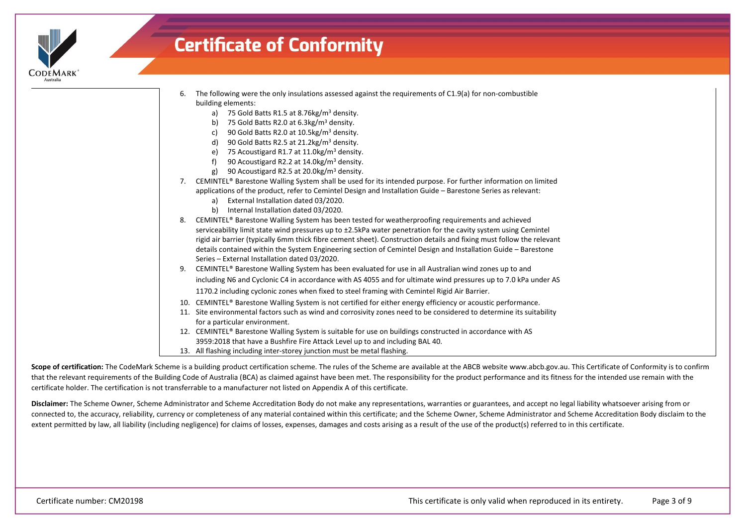

| The following were the only insulations assessed against the requirements of C1.9(a) for non-combustible |                    |  |  |
|----------------------------------------------------------------------------------------------------------|--------------------|--|--|
|                                                                                                          | building elements: |  |  |

- a) 75 Gold Batts R1.5 at 8.76 kg/m<sup>3</sup> density.
- b) 75 Gold Batts R2.0 at  $6.3 \text{kg/m}^3$  density.
- c) 90 Gold Batts R2.0 at 10.5kg/m<sup>3</sup> density.
- d) 90 Gold Batts R2.5 at  $21.2$ kg/m<sup>3</sup> density.
- e) 75 Acoustigard R1.7 at 11.0kg/m<sup>3</sup> density.
- f) 90 Acoustigard R2.2 at 14.0kg/m<sup>3</sup> density.
- g) 90 Acoustigard R2.5 at 20.0kg/m<sup>3</sup> density.
- 7. CEMINTEL® Barestone Walling System shall be used for its intended purpose. For further information on limited applications of the product, refer to Cemintel Design and Installation Guide – Barestone Series as relevant:
	- a) External Installation dated 03/2020.
	- b) Internal Installation dated 03/2020.
- 8. CEMINTEL® Barestone Walling System has been tested for weatherproofing requirements and achieved serviceability limit state wind pressures up to ±2.5kPa water penetration for the cavity system using Cemintel rigid air barrier (typically 6mm thick fibre cement sheet). Construction details and fixing must follow the relevant details contained within the System Engineering section of Cemintel Design and Installation Guide – Barestone Series – External Installation dated 03/2020.
- 9. CEMINTEL® Barestone Walling System has been evaluated for use in all Australian wind zones up to and including N6 and Cyclonic C4 in accordance with AS 4055 and for ultimate wind pressures up to 7.0 kPa under AS 1170.2 including cyclonic zones when fixed to steel framing with Cemintel Rigid Air Barrier.
- 10. CEMINTEL® Barestone Walling System is not certified for either energy efficiency or acoustic performance.
- 11. Site environmental factors such as wind and corrosivity zones need to be considered to determine its suitability for a particular environment.
- 12. CEMINTEL® Barestone Walling System is suitable for use on buildings constructed in accordance with AS 3959:2018 that have a Bushfire Fire Attack Level up to and including BAL 40.
- 13. All flashing including inter-storey junction must be metal flashing.

Scope of certification: The CodeMark Scheme is a building product certification scheme. The rules of the Scheme are available at the ABCB website www.abcb.gov.au. This Certificate of Conformity is to confirm that the relevant requirements of the Building Code of Australia (BCA) as claimed against have been met. The responsibility for the product performance and its fitness for the intended use remain with the certificate holder. The certification is not transferrable to a manufacturer not listed on Appendix A of this certificate.

**Disclaimer:** The Scheme Owner, Scheme Administrator and Scheme Accreditation Body do not make any representations, warranties or guarantees, and accept no legal liability whatsoever arising from or connected to, the accuracy, reliability, currency or completeness of any material contained within this certificate; and the Scheme Owner, Scheme Administrator and Scheme Accreditation Body disclaim to the extent permitted by law, all liability (including negligence) for claims of losses, expenses, damages and costs arising as a result of the use of the product(s) referred to in this certificate.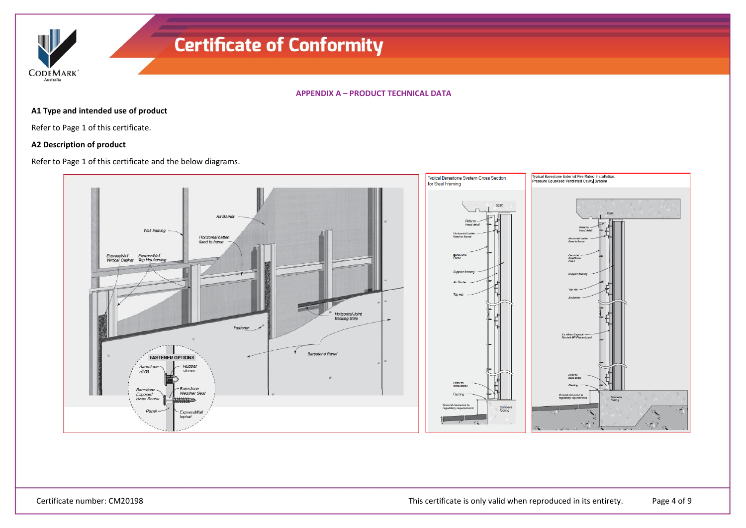**CODEMARK** Australia

**APPENDIX A – PRODUCT TECHNICAL DATA**

#### **A1 Type and intended use of product**

Refer to Page 1 of this certificate.

#### **A2 Description of product**

Refer to Page 1 of this certificate and the below diagrams.

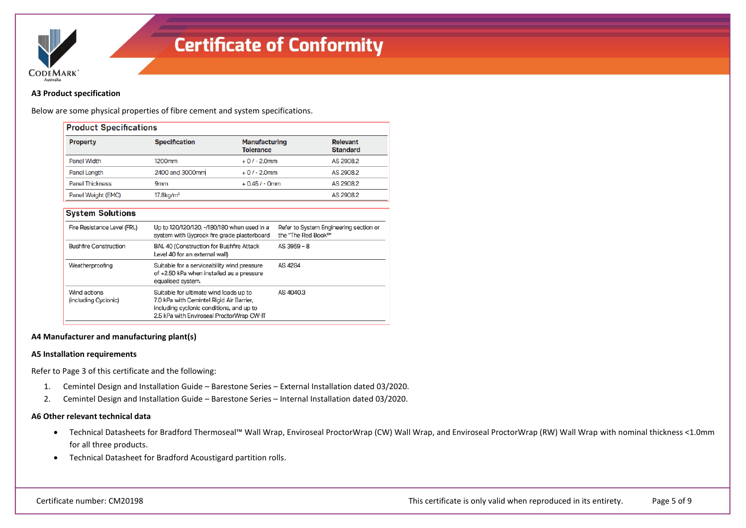

#### **A3 Product specification**

Below are some physical properties of fibre cement and system specifications.

| <b>Property</b>                                             | <b>Specification</b>                                                                                                                                                        | <b>Manufacturing</b><br><b>Tolerance</b> |                    | <b>Relevant</b><br><b>Standard</b>     |
|-------------------------------------------------------------|-----------------------------------------------------------------------------------------------------------------------------------------------------------------------------|------------------------------------------|--------------------|----------------------------------------|
| Panel Width                                                 | 1200mm                                                                                                                                                                      | $+0/ - 2.0$ mm                           |                    | AS 2908.2                              |
| Panel Length                                                | 2400 and 3000mm                                                                                                                                                             | $+0/-2.0$ mm                             |                    | AS 2908.2                              |
| <b>Panel Thickness</b>                                      | <b>9mm</b>                                                                                                                                                                  | $+0.45/ - 0mm$                           |                    | AS 2908.2                              |
| Panel Weight (EMC)                                          | 17.8 <sub>kg</sub> /m <sup>2</sup>                                                                                                                                          |                                          |                    | AS 2908.2                              |
| Fire Resistance Level (FRL)<br><b>Bushfire Construction</b> | Up to 120/120/120, -/180/180 when used in a<br>system with Gyprock fire grade plasterboard                                                                                  |                                          | the "The Red Book™ |                                        |
|                                                             |                                                                                                                                                                             |                                          |                    | Refer to System Engineering section or |
|                                                             | BAL 40 (Construction for Bushfire Attack<br>Level 40 for an external wall)                                                                                                  |                                          | AS 3959 - 8        |                                        |
| Weatherproofing                                             | Suitable for a serviceability wind pressure<br>of +2.50 kPa when installed as a pressure<br>equalised system.                                                               |                                          | AS 4284            |                                        |
| Wind actions<br>(including Cyclonic)                        | Suitable for ultimate wind loads up to<br>7.0 kPa with Cemintel Rigid Air Barrier,<br>including cyclonic conditions, and up to<br>2.5 kPa with Enviroseal ProctorWrap CW-IT |                                          | AS 4040.3          |                                        |

#### **A4 Manufacturer and manufacturing plant(s)**

#### **A5 Installation requirements**

Refer to Page 3 of this certificate and the following:

- 1. Cemintel Design and Installation Guide Barestone Series External Installation dated 03/2020.
- 2. Cemintel Design and Installation Guide Barestone Series Internal Installation dated 03/2020.

#### **A6 Other relevant technical data**

- Technical Datasheets for Bradford Thermoseal™ Wall Wrap, Enviroseal ProctorWrap (CW) Wall Wrap, and Enviroseal ProctorWrap (RW) Wall Wrap with nominal thickness <1.0mm for all three products.
- Technical Datasheet for Bradford Acoustigard partition rolls.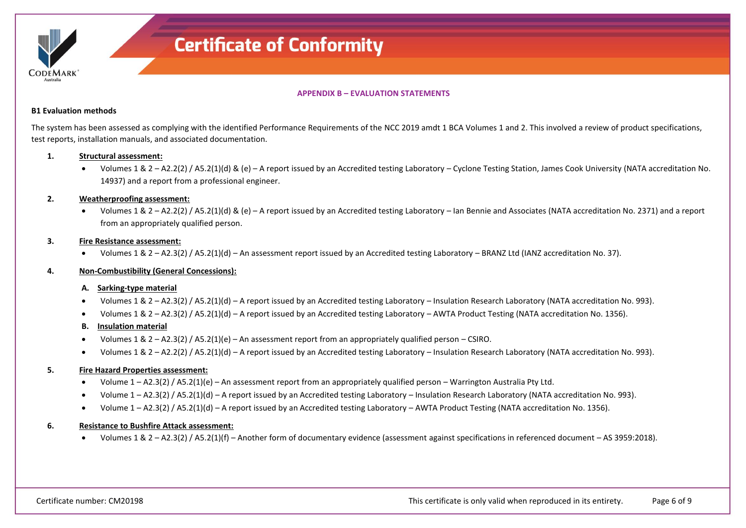

**APPENDIX B – EVALUATION STATEMENTS**

#### **B1 Evaluation methods**

The system has been assessed as complying with the identified Performance Requirements of the NCC 2019 amdt 1 BCA Volumes 1 and 2. This involved a review of product specifications, test reports, installation manuals, and associated documentation.

#### **1. Structural assessment:**

• Volumes 1 & 2 – A2.2(2) / A5.2(1)(d) & (e) – A report issued by an Accredited testing Laboratory – Cyclone Testing Station, James Cook University (NATA accreditation No. 14937) and a report from a professional engineer.

#### **2. Weatherproofing assessment:**

• Volumes 1 & 2 – A2.2(2) / A5.2(1)(d) & (e) – A report issued by an Accredited testing Laboratory – Ian Bennie and Associates (NATA accreditation No. 2371) and a report from an appropriately qualified person.

#### **3. Fire Resistance assessment:**

• Volumes 1 & 2 – A2.3(2) / A5.2(1)(d) – An assessment report issued by an Accredited testing Laboratory – BRANZ Ltd (IANZ accreditation No. 37).

#### **4. Non-Combustibility (General Concessions):**

#### **A. Sarking-type material**

- Volumes 1 & 2 A2.3(2) / A5.2(1)(d) A report issued by an Accredited testing Laboratory Insulation Research Laboratory (NATA accreditation No. 993).
- Volumes 1 & 2 A2.3(2) / A5.2(1)(d) A report issued by an Accredited testing Laboratory AWTA Product Testing (NATA accreditation No. 1356).

#### **B. Insulation material**

- Volumes 1 & 2 A2.3(2) / A5.2(1)(e) An assessment report from an appropriately qualified person CSIRO.
- Volumes 1 & 2 A2.2(2) / A5.2(1)(d) A report issued by an Accredited testing Laboratory Insulation Research Laboratory (NATA accreditation No. 993).

#### **5. Fire Hazard Properties assessment:**

- Volume 1 A2.3(2) / A5.2(1)(e) An assessment report from an appropriately qualified person Warrington Australia Pty Ltd.
- Volume 1 A2.3(2) / A5.2(1)(d) A report issued by an Accredited testing Laboratory Insulation Research Laboratory (NATA accreditation No. 993).
- Volume 1 A2.3(2) / A5.2(1)(d) A report issued by an Accredited testing Laboratory AWTA Product Testing (NATA accreditation No. 1356).

#### **6. Resistance to Bushfire Attack assessment:**

• Volumes 1 & 2 – A2.3(2) / A5.2(1)(f) – Another form of documentary evidence (assessment against specifications in referenced document – AS 3959:2018).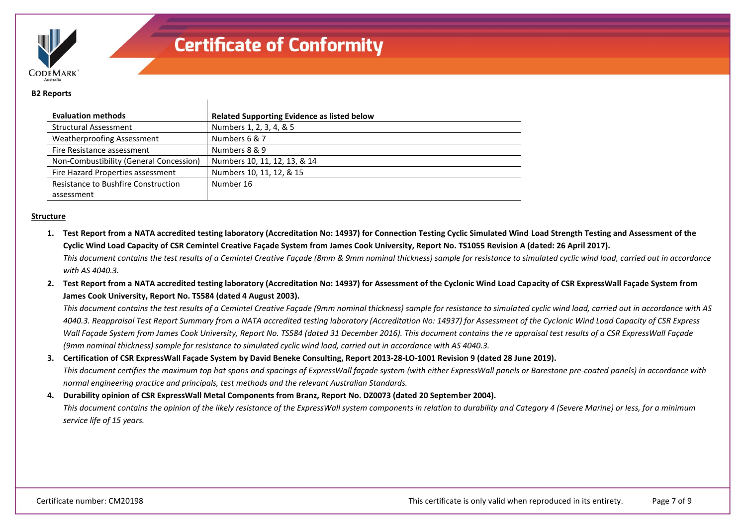

#### **B2 Reports**

| <b>Evaluation methods</b>                  | <b>Related Supporting Evidence as listed below</b> |
|--------------------------------------------|----------------------------------------------------|
| <b>Structural Assessment</b>               | Numbers 1, 2, 3, 4, & 5                            |
| <b>Weatherproofing Assessment</b>          | Numbers 6 & 7                                      |
| Fire Resistance assessment                 | Numbers 8 & 9                                      |
| Non-Combustibility (General Concession)    | Numbers 10, 11, 12, 13, & 14                       |
| Fire Hazard Properties assessment          | Numbers 10, 11, 12, & 15                           |
| <b>Resistance to Bushfire Construction</b> | Number 16                                          |
| assessment                                 |                                                    |

#### **Structure**

**1. Test Report from a NATA accredited testing laboratory (Accreditation No: 14937) for Connection Testing Cyclic Simulated Wind Load Strength Testing and Assessment of the Cyclic Wind Load Capacity of CSR Cemintel Creative Façade System from James Cook University, Report No. TS1055 Revision A (dated: 26 April 2017).** *This document contains the test results of a Cemintel Creative Façade (8mm & 9mm nominal thickness) sample for resistance to simulated cyclic wind load, carried out in accordance* 

*with AS 4040.3.*

**2. Test Report from a NATA accredited testing laboratory (Accreditation No: 14937) for Assessment of the Cyclonic Wind Load Capacity of CSR ExpressWall Façade System from James Cook University, Report No. TS584 (dated 4 August 2003).**

*This document contains the test results of a Cemintel Creative Façade (9mm nominal thickness) sample for resistance to simulated cyclic wind load, carried out in accordance with AS 4040.3. Reappraisal Test Report Summary from a NATA accredited testing laboratory (Accreditation No: 14937) for Assessment of the Cyclonic Wind Load Capacity of CSR Express Wall Façade System from James Cook University, Report No. TS584 (dated 31 December 2016). This document contains the re appraisal test results of a CSR ExpressWall Façade (9mm nominal thickness) sample for resistance to simulated cyclic wind load, carried out in accordance with AS 4040.3.*

### **3. Certification of CSR ExpressWall Façade System by David Beneke Consulting, Report 2013-28-LO-1001 Revision 9 (dated 28 June 2019).**

*This document certifies the maximum top hat spans and spacings of ExpressWall façade system (with either ExpressWall panels or Barestone pre-coated panels) in accordance with normal engineering practice and principals, test methods and the relevant Australian Standards.*

#### **4. Durability opinion of CSR ExpressWall Metal Components from Branz, Report No. DZ0073 (dated 20 September 2004).**

*This document contains the opinion of the likely resistance of the ExpressWall system components in relation to durability and Category 4 (Severe Marine) or less, for a minimum service life of 15 years.*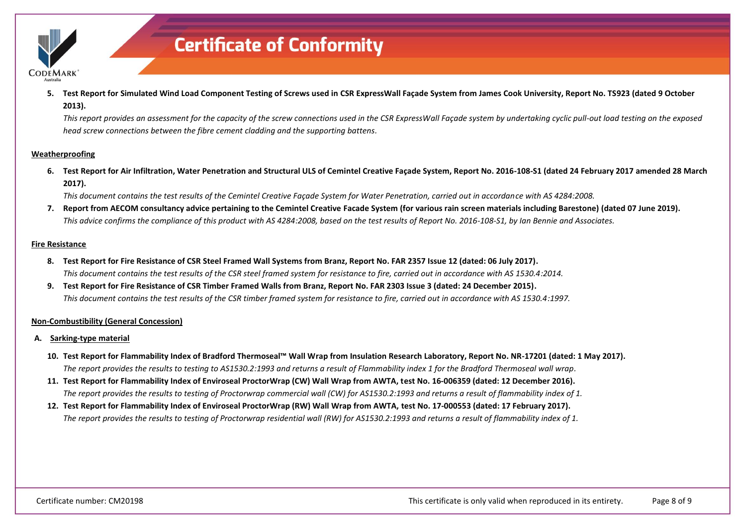

**5. Test Report for Simulated Wind Load Component Testing of Screws used in CSR ExpressWall Façade System from James Cook University, Report No. TS923 (dated 9 October 2013).**

*This report provides an assessment for the capacity of the screw connections used in the CSR ExpressWall Façade system by undertaking cyclic pull-out load testing on the exposed head screw connections between the fibre cement cladding and the supporting battens.*

#### **Weatherproofing**

**6. Test Report for Air Infiltration, Water Penetration and Structural ULS of Cemintel Creative Façade System, Report No. 2016-108-S1 (dated 24 February 2017 amended 28 March 2017).**

*This document contains the test results of the Cemintel Creative Façade System for Water Penetration, carried out in accordance with AS 4284:2008.*

**7. Report from AECOM consultancy advice pertaining to the Cemintel Creative Facade System (for various rain screen materials including Barestone) (dated 07 June 2019).** *This advice confirms the compliance of this product with AS 4284:2008, based on the test results of Report No. 2016-108-S1, by Ian Bennie and Associates.*

#### **Fire Resistance**

- **8. Test Report for Fire Resistance of CSR Steel Framed Wall Systems from Branz, Report No. FAR 2357 Issue 12 (dated: 06 July 2017).** *This document contains the test results of the CSR steel framed system for resistance to fire, carried out in accordance with AS 1530.4:2014.*
- **9. Test Report for Fire Resistance of CSR Timber Framed Walls from Branz, Report No. FAR 2303 Issue 3 (dated: 24 December 2015).** *This document contains the test results of the CSR timber framed system for resistance to fire, carried out in accordance with AS 1530.4:1997.*

#### **Non-Combustibility (General Concession)**

- **A. Sarking-type material**
	- **10. Test Report for Flammability Index of Bradford Thermoseal™ Wall Wrap from Insulation Research Laboratory, Report No. NR-17201 (dated: 1 May 2017).** *The report provides the results to testing to AS1530.2:1993 and returns a result of Flammability index 1 for the Bradford Thermoseal wall wrap.*
	- **11. Test Report for Flammability Index of Enviroseal ProctorWrap (CW) Wall Wrap from AWTA, test No. 16-006359 (dated: 12 December 2016).** *The report provides the results to testing of Proctorwrap commercial wall (CW) for AS1530.2:1993 and returns a result of flammability index of 1.*
	- **12. Test Report for Flammability Index of Enviroseal ProctorWrap (RW) Wall Wrap from AWTA, test No. 17-000553 (dated: 17 February 2017).** *The report provides the results to testing of Proctorwrap residential wall (RW) for AS1530.2:1993 and returns a result of flammability index of 1.*